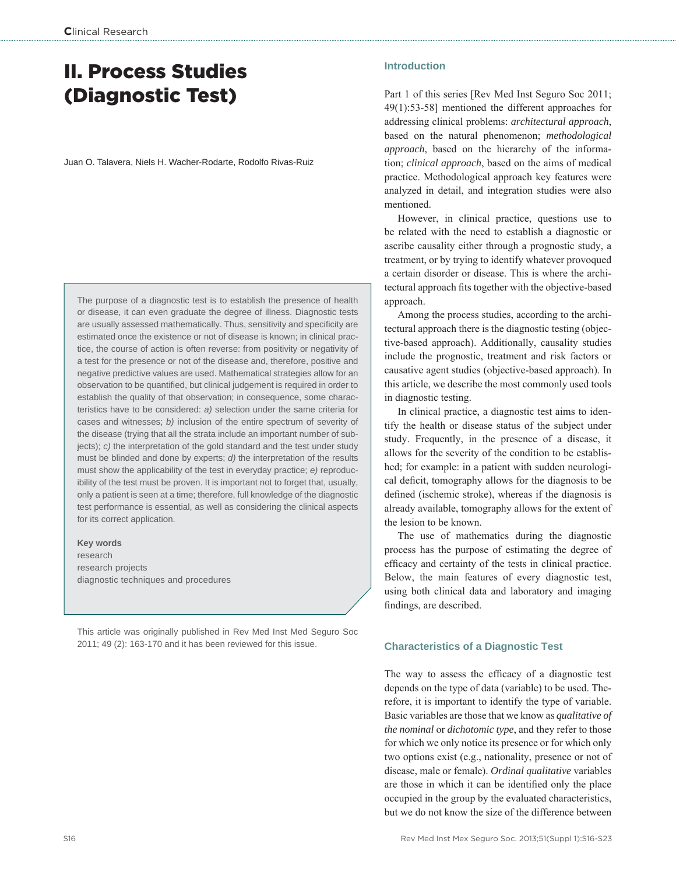# II. Process Studies (Diagnostic Test)

Juan O. Talavera, Niels H. Wacher-Rodarte, Rodolfo Rivas-Ruiz

The purpose of a diagnostic test is to establish the presence of health or disease, it can even graduate the degree of illness. Diagnostic tests are usually assessed mathematically. Thus, sensitivity and specificity are estimated once the existence or not of disease is known; in clinical practice, the course of action is often reverse: from positivity or negativity of a test for the presence or not of the disease and, therefore, positive and negative predictive values are used. Mathematical strategies allow for an observation to be quantified, but clinical judgement is required in order to establish the quality of that observation; in consequence, some characteristics have to be considered: *a)* selection under the same criteria for cases and witnesses; *b)* inclusion of the entire spectrum of severity of the disease (trying that all the strata include an important number of subjects); *c)* the interpretation of the gold standard and the test under study must be blinded and done by experts; *d)* the interpretation of the results must show the applicability of the test in everyday practice; *e)* reproducibility of the test must be proven. It is important not to forget that, usually, only a patient is seen at a time; therefore, full knowledge of the diagnostic test performance is essential, as well as considering the clinical aspects for its correct application.

**Key words** research research projects diagnostic techniques and procedures

This article was originally published in Rev Med Inst Med Seguro Soc 2011; 49 (2): 163-170 and it has been reviewed for this issue.

# **Introduction**

Part 1 of this series [Rev Med Inst Seguro Soc 2011; 49(1):53-58] mentioned the different approaches for addressing clinical problems: *architectural approach*, based on the natural phenomenon; *methodological approach*, based on the hierarchy of the information; *clinical approach*, based on the aims of medical practice. Methodological approach key features were analyzed in detail, and integration studies were also mentioned.

However, in clinical practice, questions use to be related with the need to establish a diagnostic or ascribe causality either through a prognostic study, a treatment, or by trying to identify whatever provoqued a certain disorder or disease. This is where the architectural approach fits together with the objective-based approach.

Among the process studies, according to the architectural approach there is the diagnostic testing (objective-based approach). Additionally, causality studies include the prognostic, treatment and risk factors or causative agent studies (objective-based approach). In this article, we describe the most commonly used tools in diagnostic testing.

In clinical practice, a diagnostic test aims to identify the health or disease status of the subject under study. Frequently, in the presence of a disease, it allows for the severity of the condition to be established; for example: in a patient with sudden neurological deficit, tomography allows for the diagnosis to be defined (ischemic stroke), whereas if the diagnosis is already available, tomography allows for the extent of the lesion to be known.

The use of mathematics during the diagnostic process has the purpose of estimating the degree of efficacy and certainty of the tests in clinical practice. Below, the main features of every diagnostic test, using both clinical data and laboratory and imaging findings, are described.

## **Characteristics of a Diagnostic Test**

The way to assess the efficacy of a diagnostic test depends on the type of data (variable) to be used. Therefore, it is important to identify the type of variable. Basic variables are those that we know as *qualitative of the nominal* or *dichotomic type*, and they refer to those for which we only notice its presence or for which only two options exist (e.g., nationality, presence or not of disease, male or female). *Ordinal qualitative* variables are those in which it can be identified only the place occupied in the group by the evaluated characteristics, but we do not know the size of the difference between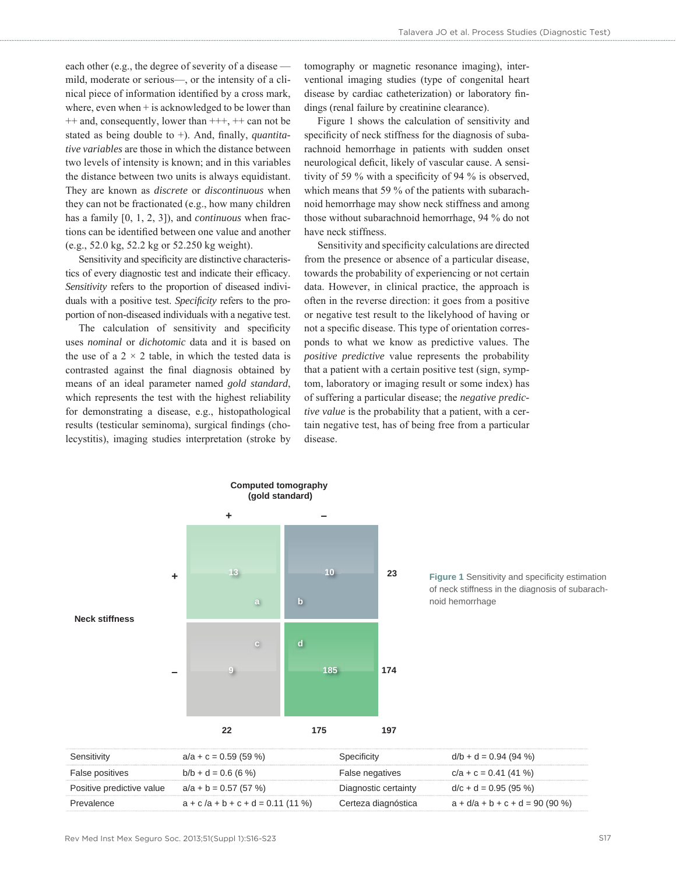each other (e.g., the degree of severity of a disease mild, moderate or serious—, or the intensity of a clinical piece of information identified by a cross mark, where, even when  $+$  is acknowledged to be lower than ++ and, consequently, lower than +++, ++ can not be stated as being double to +). And, finally, *quantitative variables* are those in which the distance between two levels of intensity is known; and in this variables the distance between two units is always equidistant. They are known as *discrete* or *discontinuous* when they can not be fractionated (e.g., how many children has a family [0, 1, 2, 3]), and *continuous* when fractions can be identified between one value and another (e.g., 52.0 kg, 52.2 kg or 52.250 kg weight).

Sensitivity and specificity are distinctive characteristics of every diagnostic test and indicate their efficacy. *Sensitivity* refers to the proportion of diseased individuals with a positive test. *Specificity* refers to the proportion of non-diseased individuals with a negative test.

The calculation of sensitivity and specificity uses *nominal* or *dichotomic* data and it is based on the use of a  $2 \times 2$  table, in which the tested data is contrasted against the final diagnosis obtained by means of an ideal parameter named *gold standard*, which represents the test with the highest reliability for demonstrating a disease, e.g., histopathological results (testicular seminoma), surgical findings (cholecystitis), imaging studies interpretation (stroke by tomography or magnetic resonance imaging), interventional imaging studies (type of congenital heart disease by cardiac catheterization) or laboratory findings (renal failure by creatinine clearance).

Figure 1 shows the calculation of sensitivity and specificity of neck stiffness for the diagnosis of subarachnoid hemorrhage in patients with sudden onset neurological deficit, likely of vascular cause. A sensitivity of 59 % with a specificity of 94 % is observed, which means that 59 % of the patients with subarachnoid hemorrhage may show neck stiffness and among those without subarachnoid hemorrhage, 94 % do not have neck stiffness.

Sensitivity and specificity calculations are directed from the presence or absence of a particular disease, towards the probability of experiencing or not certain data. However, in clinical practice, the approach is often in the reverse direction: it goes from a positive or negative test result to the likelyhood of having or not a specific disease. This type of orientation corresponds to what we know as predictive values. The *positive predictive* value represents the probability that a patient with a certain positive test (sign, symptom, laboratory or imaging result or some index) has of suffering a particular disease; the *negative predictive value* is the probability that a patient, with a certain negative test, has of being free from a particular disease.

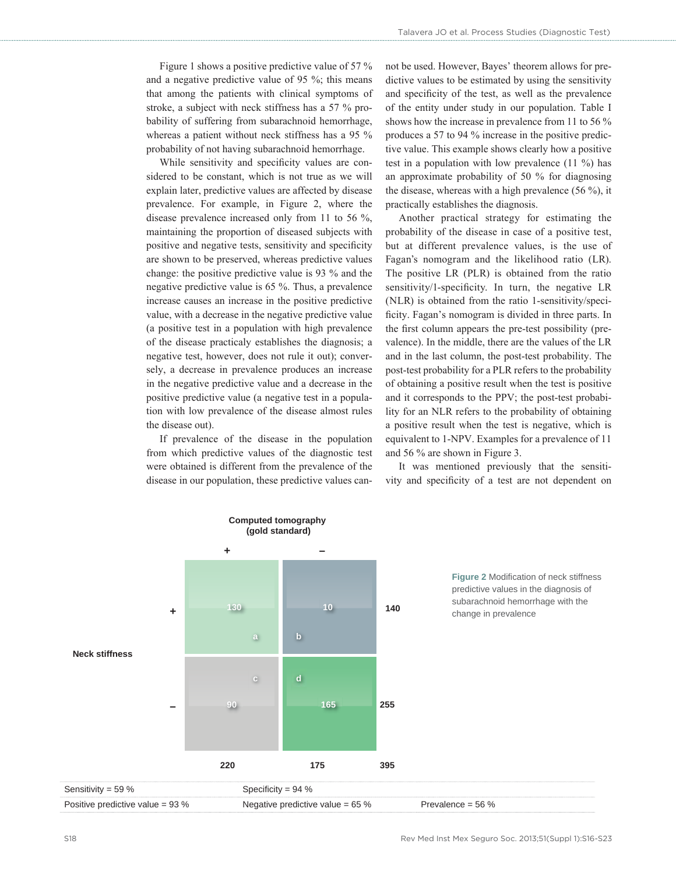Figure 1 shows a positive predictive value of 57 % and a negative predictive value of 95 %; this means that among the patients with clinical symptoms of stroke, a subject with neck stiffness has a 57 % probability of suffering from subarachnoid hemorrhage, whereas a patient without neck stiffness has a 95 % probability of not having subarachnoid hemorrhage.

While sensitivity and specificity values are considered to be constant, which is not true as we will explain later, predictive values are affected by disease prevalence. For example, in Figure 2, where the disease prevalence increased only from 11 to 56 %, maintaining the proportion of diseased subjects with positive and negative tests, sensitivity and specificity are shown to be preserved, whereas predictive values change: the positive predictive value is 93 % and the negative predictive value is 65 %. Thus, a prevalence increase causes an increase in the positive predictive value, with a decrease in the negative predictive value (a positive test in a population with high prevalence of the disease practicaly establishes the diagnosis; a negative test, however, does not rule it out); conversely, a decrease in prevalence produces an increase in the negative predictive value and a decrease in the positive predictive value (a negative test in a population with low prevalence of the disease almost rules the disease out).

If prevalence of the disease in the population from which predictive values of the diagnostic test were obtained is different from the prevalence of the disease in our population, these predictive values cannot be used. However, Bayes' theorem allows for predictive values to be estimated by using the sensitivity and specificity of the test, as well as the prevalence of the entity under study in our population. Table I shows how the increase in prevalence from 11 to 56 % produces a 57 to 94 % increase in the positive predictive value. This example shows clearly how a positive test in a population with low prevalence (11 %) has an approximate probability of 50 % for diagnosing the disease, whereas with a high prevalence (56 %), it practically establishes the diagnosis.

Another practical strategy for estimating the probability of the disease in case of a positive test, but at different prevalence values, is the use of Fagan's nomogram and the likelihood ratio (LR). The positive LR (PLR) is obtained from the ratio sensitivity/1-specificity. In turn, the negative LR (NLR) is obtained from the ratio 1-sensitivity/specificity. Fagan's nomogram is divided in three parts. In the first column appears the pre-test possibility (prevalence). In the middle, there are the values of the LR and in the last column, the post-test probability. The post-test probability for a PLR refers to the probability of obtaining a positive result when the test is positive and it corresponds to the PPV; the post-test probability for an NLR refers to the probability of obtaining a positive result when the test is negative, which is equivalent to 1-NPV. Examples for a prevalence of 11 and 56 % are shown in Figure 3.

It was mentioned previously that the sensitivity and specificity of a test are not dependent on

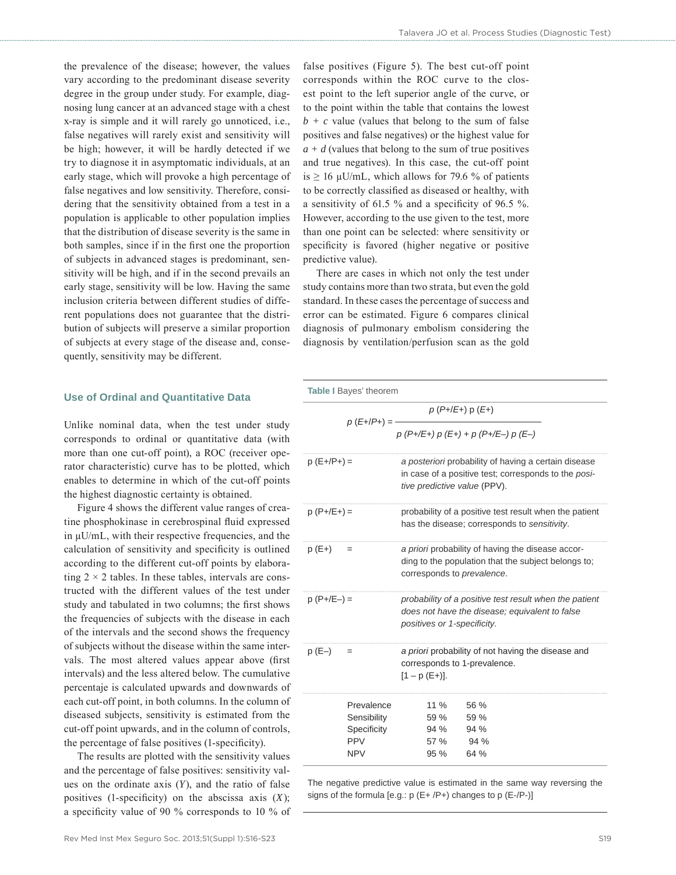the prevalence of the disease; however, the values vary according to the predominant disease severity degree in the group under study. For example, diagnosing lung cancer at an advanced stage with a chest x-ray is simple and it will rarely go unnoticed, i.e., false negatives will rarely exist and sensitivity will be high; however, it will be hardly detected if we try to diagnose it in asymptomatic individuals, at an early stage, which will provoke a high percentage of false negatives and low sensitivity. Therefore, considering that the sensitivity obtained from a test in a population is applicable to other population implies that the distribution of disease severity is the same in both samples, since if in the first one the proportion of subjects in advanced stages is predominant, sensitivity will be high, and if in the second prevails an early stage, sensitivity will be low. Having the same inclusion criteria between different studies of different populations does not guarantee that the distribution of subjects will preserve a similar proportion of subjects at every stage of the disease and, consequently, sensitivity may be different.

## **Use of Ordinal and Quantitative Data**

Unlike nominal data, when the test under study corresponds to ordinal or quantitative data (with more than one cut-off point), a ROC (receiver operator characteristic) curve has to be plotted, which enables to determine in which of the cut-off points the highest diagnostic certainty is obtained.

Figure 4 shows the different value ranges of creatine phosphokinase in cerebrospinal fluid expressed in μU/mL, with their respective frequencies, and the calculation of sensitivity and specificity is outlined according to the different cut-off points by elaborating  $2 \times 2$  tables. In these tables, intervals are constructed with the different values of the test under study and tabulated in two columns; the first shows the frequencies of subjects with the disease in each of the intervals and the second shows the frequency of subjects without the disease within the same intervals. The most altered values appear above (first intervals) and the less altered below. The cumulative percentaje is calculated upwards and downwards of each cut-off point, in both columns. In the column of diseased subjects, sensitivity is estimated from the cut-off point upwards, and in the column of controls, the percentage of false positives (1-specificity).

The results are plotted with the sensitivity values and the percentage of false positives: sensitivity values on the ordinate axis (*Y*), and the ratio of false positives (1-specificity) on the abscissa axis  $(X)$ ; a specificity value of 90 % corresponds to 10 % of

false positives (Figure 5). The best cut-off point corresponds within the ROC curve to the closest point to the left superior angle of the curve, or to the point within the table that contains the lowest  $b + c$  value (values that belong to the sum of false positives and false negatives) or the highest value for  $a + d$  (values that belong to the sum of true positives and true negatives). In this case, the cut-off point is  $\geq$  16 µU/mL, which allows for 79.6 % of patients to be correctly classified as diseased or healthy, with a sensitivity of 61.5  $\%$  and a specificity of 96.5  $\%$ . However, according to the use given to the test, more than one point can be selected: where sensitivity or specificity is favored (higher negative or positive predictive value).

There are cases in which not only the test under study contains more than two strata, but even the gold standard. In these cases the percentage of success and error can be estimated. Figure 6 compares clinical diagnosis of pulmonary embolism considering the diagnosis by ventilation/perfusion scan as the gold

|              | Table I Bayes' theorem                                               |                                                                                                                                              |
|--------------|----------------------------------------------------------------------|----------------------------------------------------------------------------------------------------------------------------------------------|
|              | $p(E+/P+) = -$                                                       | $p(P+/E+)$ p $(E+)$                                                                                                                          |
|              |                                                                      | $p(P+/E+) p(E+) + p(P+/E-) p(E-)$                                                                                                            |
| $p(E+/P+) =$ |                                                                      | a posteriori probability of having a certain disease<br>in case of a positive test; corresponds to the posi-<br>tive predictive value (PPV). |
| $p(P+/E+) =$ |                                                                      | probability of a positive test result when the patient<br>has the disease; corresponds to sensitivity.                                       |
| $p(E+)$      |                                                                      | a priori probability of having the disease accor-<br>ding to the population that the subject belongs to;<br>corresponds to prevalence.       |
| $p(P+/E-) =$ |                                                                      | probability of a positive test result when the patient<br>does not have the disease; equivalent to false<br>positives or 1-specificity.      |
| $p(E-)$      |                                                                      | a priori probability of not having the disease and<br>corresponds to 1-prevalence.<br>$[1 - p(E+)].$                                         |
|              | Prevalence<br>Sensibility<br>Specificity<br><b>PPV</b><br><b>NPV</b> | 11 $%$<br>56 %<br>59 %<br>59 %<br>94 % 94 %<br>57 %<br>94%<br>95 %<br>64 %                                                                   |

The negative predictive value is estimated in the same way reversing the signs of the formula [e.g.: p (E+ /P+) changes to p (E-/P-)]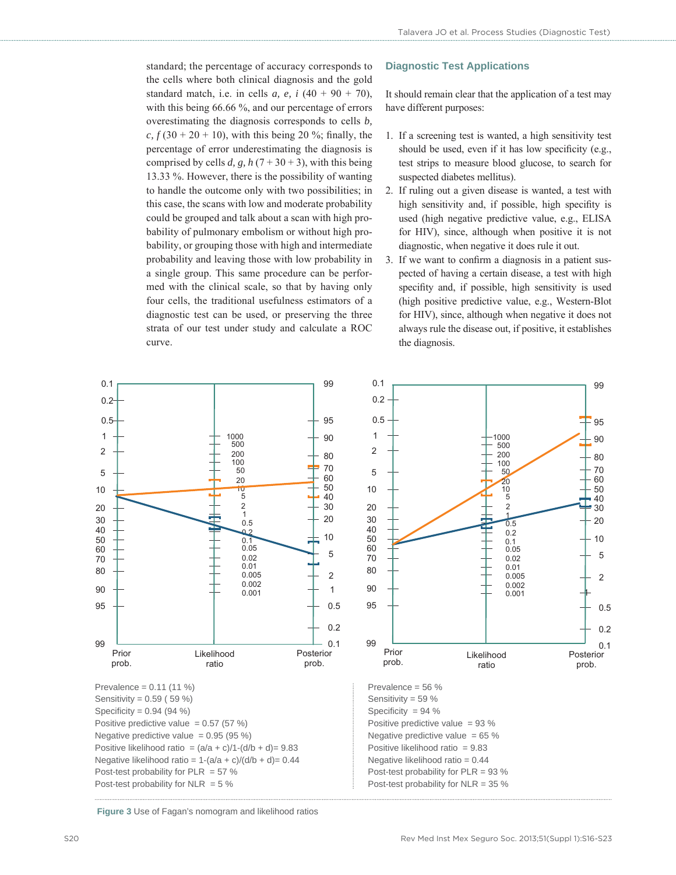standard; the percentage of accuracy corresponds to the cells where both clinical diagnosis and the gold standard match, i.e. in cells *a, e, i*  $(40 + 90 + 70)$ , with this being 66.66 %, and our percentage of errors overestimating the diagnosis corresponds to cells *b,*   $c, f (30 + 20 + 10)$ , with this being 20 %; finally, the percentage of error underestimating the diagnosis is comprised by cells *d*, *g*,  $h(7+30+3)$ , with this being 13.33 %. However, there is the possibility of wanting to handle the outcome only with two possibilities; in this case, the scans with low and moderate probability could be grouped and talk about a scan with high probability of pulmonary embolism or without high probability, or grouping those with high and intermediate probability and leaving those with low probability in a single group. This same procedure can be performed with the clinical scale, so that by having only four cells, the traditional usefulness estimators of a diagnostic test can be used, or preserving the three strata of our test under study and calculate a ROC curve.

## **Diagnostic Test Applications**

It should remain clear that the application of a test may have different purposes:

- 1. If a screening test is wanted, a high sensitivity test should be used, even if it has low specificity (e.g., test strips to measure blood glucose, to search for suspected diabetes mellitus).
- 2. If ruling out a given disease is wanted, a test with high sensitivity and, if possible, high specifity is used (high negative predictive value, e.g., ELISA for HIV), since, although when positive it is not diagnostic, when negative it does rule it out.
- 3. If we want to confirm a diagnosis in a patient suspected of having a certain disease, a test with high specifity and, if possible, high sensitivity is used (high positive predictive value, e.g., Western-Blot for HIV), since, although when negative it does not always rule the disease out, if positive, it establishes the diagnosis.



**Figure 3** Use of Fagan's nomogram and likelihood ratios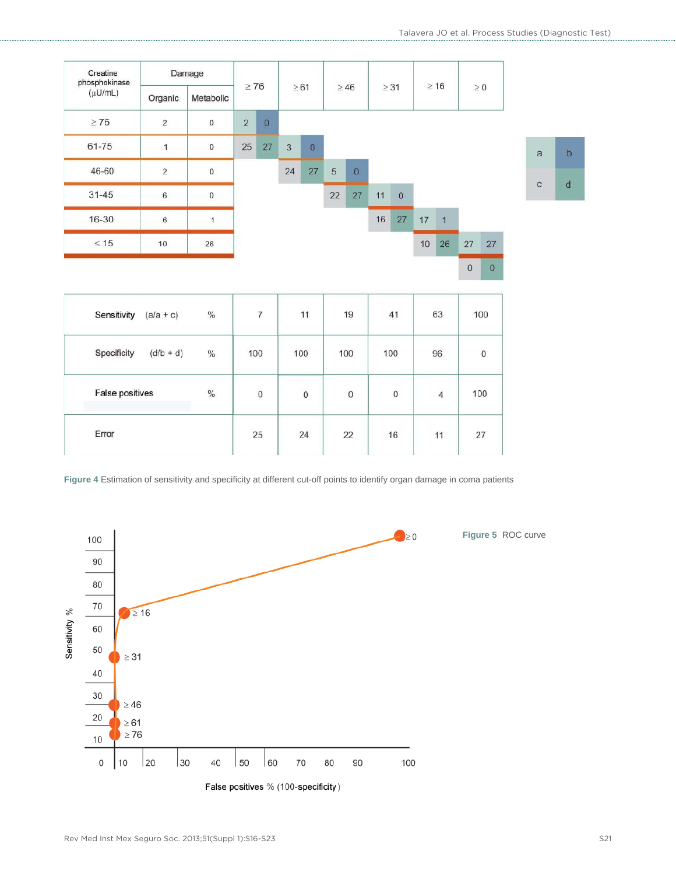| Creatine<br>phosphokinase<br>$(\mu U/mL)$ | Damage         |                     | $\geq 76$      |             |    |                  |    |           |           |              | $\geq 16$ |                |          |              |                |  |
|-------------------------------------------|----------------|---------------------|----------------|-------------|----|------------------|----|-----------|-----------|--------------|-----------|----------------|----------|--------------|----------------|--|
|                                           | Organic        | Metabolic           |                |             |    | $\geq 61$        |    | $\geq 46$ | $\geq$ 31 |              |           |                |          | $\geq 0$     |                |  |
| $\geq 76$                                 | 2              | 0                   | $\overline{2}$ | $\mathbf 0$ |    |                  |    |           |           |              |           |                |          |              |                |  |
| 61-75                                     | $\overline{1}$ | $\mathbf{0}$        | 25             | 27          | 3  | $\boldsymbol{0}$ |    |           |           |              |           |                |          |              | $\overline{a}$ |  |
| 46-60                                     | $\overline{2}$ | $\mathsf{O}\xspace$ |                |             | 24 | 27               | 5  | $\bf{0}$  |           |              |           |                |          |              |                |  |
| $31 - 45$                                 | 6              | $\mathsf{O}\xspace$ |                |             |    |                  | 22 | 27        | 11        | $\mathbf{0}$ |           |                |          |              | $\mathbf{C}$   |  |
| 16-30                                     | $\,$ 6         |                     |                |             |    |                  |    |           | 16        | 27           | 17        | $\overline{1}$ |          |              |                |  |
| $\leq 15$                                 | 10             | 26                  |                |             |    |                  |    |           |           |              | 10        | 26             | 27       | 27           |                |  |
|                                           |                |                     |                |             |    |                  |    |           |           |              |           |                | $\bf{0}$ | $\mathbf{0}$ |                |  |

| Sensitivity<br>$(a/a + c)$ | $\%$ | 7            | 11           | 19                  | 41           | $-25.01$<br>63 | 100      |
|----------------------------|------|--------------|--------------|---------------------|--------------|----------------|----------|
| Specificity<br>$(d/b + d)$ | $\%$ | 100          | 100          | 100                 | 100          | 96             | $\bf{0}$ |
| False positives            | $\%$ | $\mathbf{0}$ | $\mathbf{0}$ | $\mathsf{O}\xspace$ | $\mathbf{0}$ | $\overline{4}$ | 100      |
| Error                      |      | 25           | 24           | 22                  | 16           | 11             | 27       |

Figure 4 Estimation of sensitivity and specificity at different cut-off points to identify organ damage in coma patients

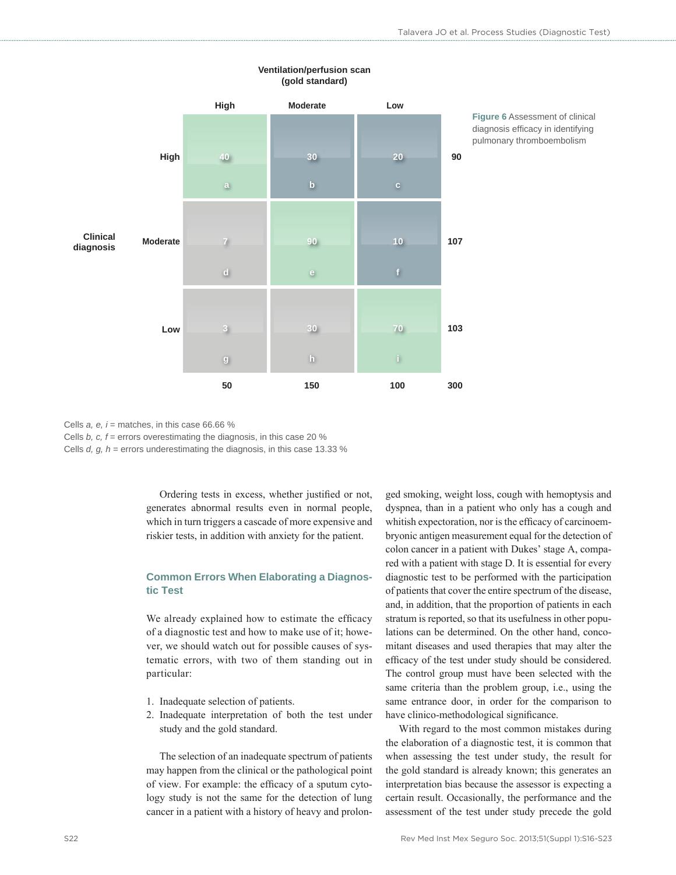|                              |          | High                                                    | Moderate                | Low             |        |
|------------------------------|----------|---------------------------------------------------------|-------------------------|-----------------|--------|
|                              |          |                                                         |                         |                 |        |
|                              | High     | 40 <sub>l</sub>                                         | 30                      | 20              | $90\,$ |
|                              |          | $\mathbf{a}$                                            | $\mathbf b$             | $\mathbf{c}$    |        |
|                              |          |                                                         |                         |                 |        |
| <b>Clinical</b><br>diagnosis | Moderate | $\overline{7}$                                          | 90 <sub>o</sub>         | 10              | 107    |
|                              |          | $\mathbf{d}$                                            | $\mathbf{e}$            | $\mathbf{f}$    |        |
|                              |          |                                                         |                         |                 |        |
|                              | Low      | $\overline{3}$                                          | 30 <sub>1</sub>         | 70 <sub>l</sub> | 103    |
|                              |          | $\begin{array}{c} \mathbf{g} \\ \mathbf{g} \end{array}$ | $\overline{\mathbf{h}}$ | $\bar{0}$       |        |
|                              |          | 50                                                      | 150                     | 100             | 300    |

### **Ventilation/perfusion scan (gold standard)**

**Figure 6** Assessment of clinical diagnosis efficacy in identifying pulmonary thromboembolism

Cells *a, e, i* = matches, in this case 66.66 %

Cells *b, c, f* = errors overestimating the diagnosis, in this case 20 %

Cells *d, g, h* = errors underestimating the diagnosis, in this case 13.33 %

Ordering tests in excess, whether justified or not, generates abnormal results even in normal people, which in turn triggers a cascade of more expensive and riskier tests, in addition with anxiety for the patient.

## **Common Errors When Elaborating a Diagnostic Test**

We already explained how to estimate the efficacy of a diagnostic test and how to make use of it; however, we should watch out for possible causes of systematic errors, with two of them standing out in particular:

- 1. Inadequate selection of patients.
- 2. Inadequate interpretation of both the test under study and the gold standard.

The selection of an inadequate spectrum of patients may happen from the clinical or the pathological point of view. For example: the efficacy of a sputum cytology study is not the same for the detection of lung cancer in a patient with a history of heavy and prolonged smoking, weight loss, cough with hemoptysis and dyspnea, than in a patient who only has a cough and whitish expectoration, nor is the efficacy of carcinoembryonic antigen measurement equal for the detection of colon cancer in a patient with Dukes' stage A, compared with a patient with stage D. It is essential for every diagnostic test to be performed with the participation of patients that cover the entire spectrum of the disease, and, in addition, that the proportion of patients in each stratum is reported, so that its usefulness in other populations can be determined. On the other hand, concomitant diseases and used therapies that may alter the efficacy of the test under study should be considered. The control group must have been selected with the same criteria than the problem group, i.e., using the same entrance door, in order for the comparison to have clinico-methodological significance.

With regard to the most common mistakes during the elaboration of a diagnostic test, it is common that when assessing the test under study, the result for the gold standard is already known; this generates an interpretation bias because the assessor is expecting a certain result. Occasionally, the performance and the assessment of the test under study precede the gold